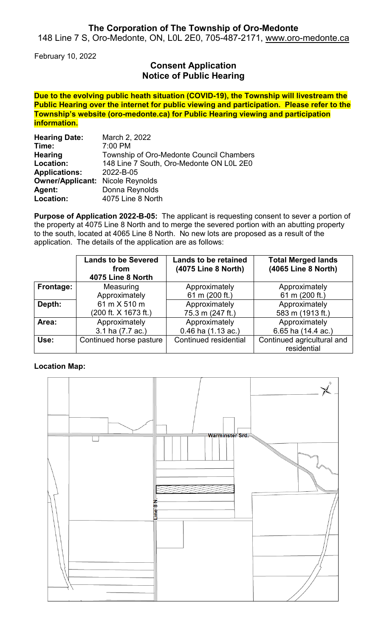## **The Corporation of The Township of Oro-Medonte**

148 Line 7 S, Oro-Medonte, ON, L0L 2E0, 705-487-2171, [www.oro-medonte.ca](http://www.oro-medonte.ca/)

February 10, 2022

## **Consent Application Notice of Public Hearing**

**Due to the evolving public heath situation (COVID-19), the Township will livestream the Public Hearing over the internet for public viewing and participation. Please refer to the Township's website (oro-medonte.ca) for Public Hearing viewing and participation information.**

| <b>Hearing Date:</b>                    | March 2, 2022                            |  |  |
|-----------------------------------------|------------------------------------------|--|--|
| Time:                                   | 7:00 PM                                  |  |  |
| <b>Hearing</b>                          | Township of Oro-Medonte Council Chambers |  |  |
| Location:                               | 148 Line 7 South, Oro-Medonte ON L0L 2E0 |  |  |
| <b>Applications:</b>                    | 2022-B-05                                |  |  |
| <b>Owner/Applicant: Nicole Reynolds</b> |                                          |  |  |
| Agent:                                  | Donna Reynolds                           |  |  |
| Location:                               | 4075 Line 8 North                        |  |  |

**Purpose of Application 2022-B-05:** The applicant is requesting consent to sever a portion of the property at 4075 Line 8 North and to merge the severed portion with an abutting property to the south, located at 4065 Line 8 North. No new lots are proposed as a result of the application. The details of the application are as follows:

|           | <b>Lands to be Severed</b><br>from<br>4075 Line 8 North | <b>Lands to be retained</b><br>(4075 Line 8 North) | <b>Total Merged lands</b><br>(4065 Line 8 North) |
|-----------|---------------------------------------------------------|----------------------------------------------------|--------------------------------------------------|
| Frontage: | Measuring                                               | Approximately                                      | Approximately                                    |
|           | Approximately                                           | 61 m (200 ft.)                                     | 61 m (200 ft.)                                   |
| Depth:    | 61 m X 510 m                                            | Approximately                                      | Approximately                                    |
|           | (200 ft. X 1673 ft.)                                    | 75.3 m (247 ft.)                                   | 583 m (1913 ft.)                                 |
| Area:     | Approximately                                           | Approximately                                      | Approximately                                    |
|           | 3.1 ha (7.7 ac.)                                        | 0.46 ha (1.13 ac.)                                 | 6.65 ha (14.4 ac.)                               |
| Use:      | Continued horse pasture                                 | Continued residential                              | Continued agricultural and                       |
|           |                                                         |                                                    | residential                                      |

#### **Location Map:**

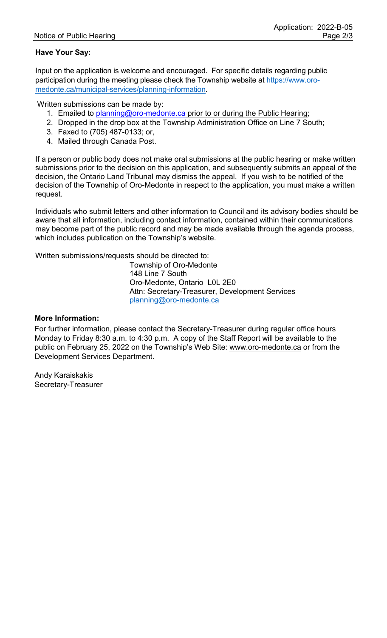### **Have Your Say:**

Input on the application is welcome and encouraged. For specific details regarding public participation during the meeting please check the Township website at [https://www.oro](https://www.oro-medonte.ca/municipal-services/planning-information)[medonte.ca/municipal-services/planning-information.](https://www.oro-medonte.ca/municipal-services/planning-information)

Written submissions can be made by:

- 1. Emailed to [planning@oro-medonte.ca](mailto:planning@oro-medonte.ca) prior to or during the Public Hearing;
- 2. Dropped in the drop box at the Township Administration Office on Line 7 South;
- 3. Faxed to (705) 487-0133; or,
- 4. Mailed through Canada Post.

If a person or public body does not make oral submissions at the public hearing or make written submissions prior to the decision on this application, and subsequently submits an appeal of the decision, the Ontario Land Tribunal may dismiss the appeal. If you wish to be notified of the decision of the Township of Oro-Medonte in respect to the application, you must make a written request.

Individuals who submit letters and other information to Council and its advisory bodies should be aware that all information, including contact information, contained within their communications may become part of the public record and may be made available through the agenda process, which includes publication on the Township's website.

Written submissions/requests should be directed to:

Township of Oro-Medonte 148 Line 7 South Oro-Medonte, Ontario L0L 2E0 Attn: Secretary-Treasurer, Development Services [planning@oro-medonte.ca](mailto:planning@oro-medonte.ca)

#### **More Information:**

For further information, please contact the Secretary-Treasurer during regular office hours Monday to Friday 8:30 a.m. to 4:30 p.m. A copy of the Staff Report will be available to the public on February 25, 2022 on the Township's Web Site: [www.oro-medonte.ca](http://www.oro-medonte.ca/) or from the Development Services Department.

Andy Karaiskakis Secretary-Treasurer